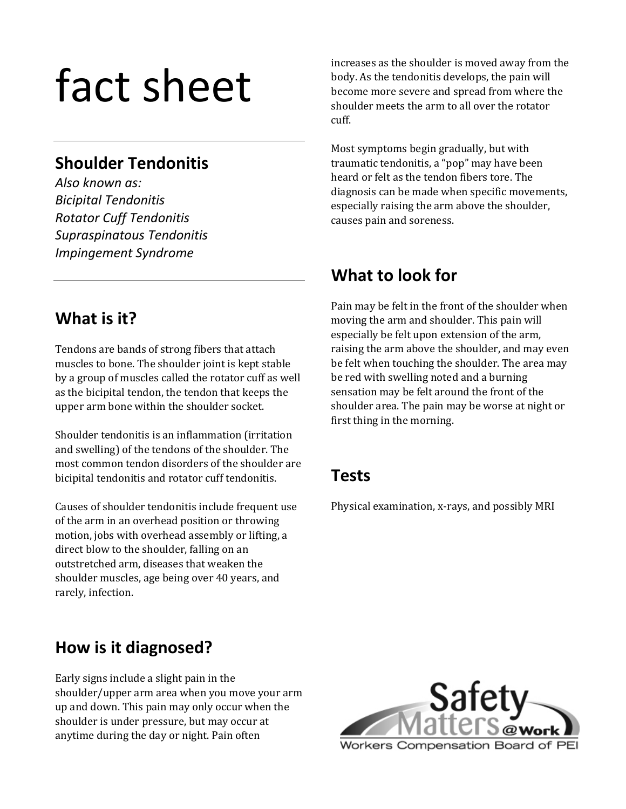# fact sheet

### **Shoulder Tendonitis**

*Also known as: Bicipital Tendonitis Rotator Cuff Tendonitis Supraspinatous Tendonitis Impingement Syndrome*

# **What is it?**

Tendons are bands of strong fibers that attach muscles to bone. The shoulder joint is kept stable by a group of muscles called the rotator cuff as well as the bicipital tendon, the tendon that keeps the upper arm bone within the shoulder socket.

Shoulder tendonitis is an inflammation (irritation and swelling) of the tendons of the shoulder. The most common tendon disorders of the shoulder are bicipital tendonitis and rotator cuff tendonitis.

Causes of shoulder tendonitis include frequent use of the arm in an overhead position or throwing motion, jobs with overhead assembly or lifting, a direct blow to the shoulder, falling on an outstretched arm, diseases that weaken the shoulder muscles, age being over 40 years, and rarely, infection.

# **How is it diagnosed?**

Early signs include a slight pain in the shoulder/upper arm area when you move your arm up and down. This pain may only occur when the shoulder is under pressure, but may occur at anytime during the day or night. Pain often

increases as the shoulder is moved away from the body. As the tendonitis develops, the pain will become more severe and spread from where the shoulder meets the arm to all over the rotator cuff.

Most symptoms begin gradually, but with traumatic tendonitis, a "pop" may have been heard or felt as the tendon fibers tore. The diagnosis can be made when specific movements, especially raising the arm above the shoulder, causes pain and soreness.

# **What to look for**

Pain may be felt in the front of the shoulder when moving the arm and shoulder. This pain will especially be felt upon extension of the arm, raising the arm above the shoulder, and may even be felt when touching the shoulder. The area may be red with swelling noted and a burning sensation may be felt around the front of the shoulder area. The pain may be worse at night or first thing in the morning.

# **Tests**

Physical examination, x‐rays, and possibly MRI